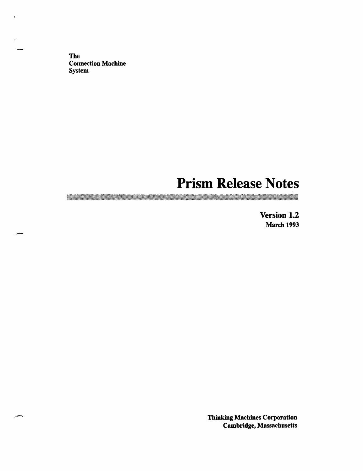The **Connection Machine** System

.aar.

# **Prism Release Notes**

**Version 1.2** March 1993

Thinking Machines Corporation Cambridge, Massachusetts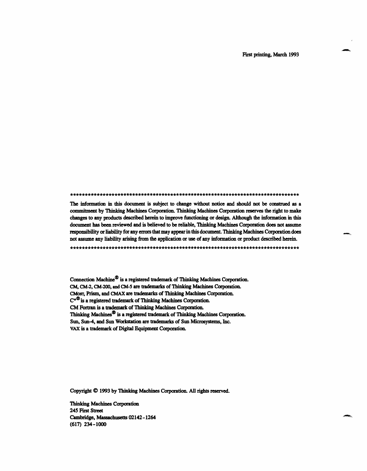First printing, March 1993

The information in this document is subject to change without notice and should not be construed as a commitment by Thinking Machines Corporation. Thinking Machines Corporation reserves the right to make changes to any products described herein to improve functioning or design. Although the information in this document has been reviewed and is believed to be reliable, Thinking Machines Corporation does not assume responsibility or liability for any errors that may appear in this document. Thinking Machines Corporation does not assume any liability arising from the application or use of any information or product described herein.

Connection Machine® is a registered trademark of Thinking Machines Corporation. CM, CM-2, CM-200, and CM-5 are trademarks of Thinking Machines Corporation. CMosr, Prism, and CMAX are trademarks of Thinking Machines Corporation.  $C^{\star\mathfrak{D}}$  is a registered trademark of Thinking Machines Corporation. CM Fortran is a trademark of Thinking Machines Corporation. Thinking Machines® is a registered trademark of Thinking Machines Corporation. Sun, **Sun-4,** and Sun Workstation are trademarks of Sun Microsystems, Inc. VAX is a trademark of Digital Equipment Corporation.

Copyright © 1993 by Thinking Machines Corporation. All rights reserved.

Thinking Machines Corporation 245 First Street Cambridge, Massachusetts 02142-1264 (617) 234-1000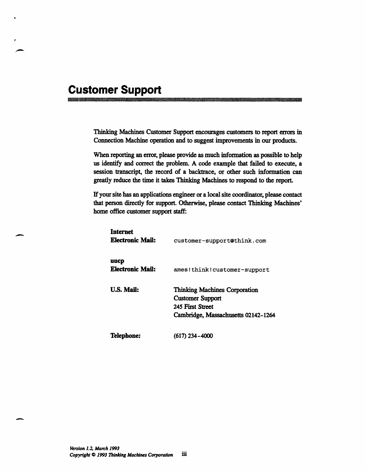# **Customer Support**

maa waxaa mid iyo dhaqaala iyo dhaqaala iyo dhaqaala iyo dhaqaala iyo dhaqaala iyo dhaqaala iyo dhaqaala iyo d<br>Markaala iyo dhaqaala iyo dhaqaala iyo dhaqaala iyo dhaqaala iyo dhaqaala iyo dhaqaala iyo dhaqaala iyo dhaqaa

Thinking Machines Customer Support encourages customers to report errors in Connection Machine operation and to suggest improvements in our products.

When reporting an error, please provide as much information as possible to help us identify and correct the problem. A code example that failed to execute, a session transcript, the record of a backtrace, or other such information can greatly reduce the time it takes Thinking Machines to respond to the report.

If your site has an applications engineer or a local site coordinator, please contact that person directly for support. Otherwise, please contact Thinking Machines' home office customer support staff:

| <b>Internet</b><br><b>Electronic Mail:</b> | customer-support@think.com                                                                                                 |
|--------------------------------------------|----------------------------------------------------------------------------------------------------------------------------|
| uucp<br><b>Electronic Mail:</b>            | ames!think!customer-support                                                                                                |
| <b>U.S. Mail:</b>                          | <b>Thinking Machines Corporation</b><br><b>Customer Support</b><br>245 First Street<br>Cambridge, Massachusetts 02142-1264 |
| <b>Telephone:</b>                          | (617) 234–4000                                                                                                             |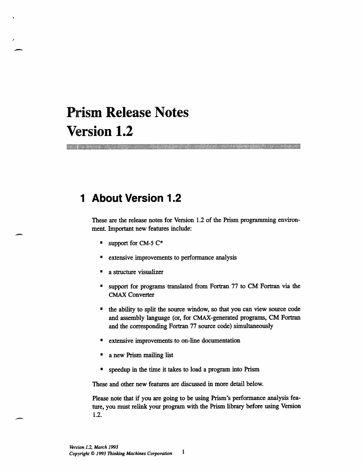# **Prism Release Notes Version 1.2**

# **1 About Version 1.2**

These are the release notes for Version 1.2 of the Prism programming environment. Important new features include:

- **·** support for CM-5  $C^*$
- extensive improvements to performance analysis
- a structure visualizer
- support for programs translated from Fortran 77 to CM Fortran via the CMAX Converter
- \* the ability to split the source window, so that you can view source code and assembly language (or, for CMAX-generated programs, CM Fortran and the corresponding Fortran 77 source code) simultaneously
- \* extensive improvements to on-line documentation
- a new Prism mailing list
- speedup in the time it takes to load a program into Prism

These and other new features are discussed in more detail below.

Please note that if you are going to be using Prism's performance analysis feature, you must relink your program with the Prism library before using Version 1.2.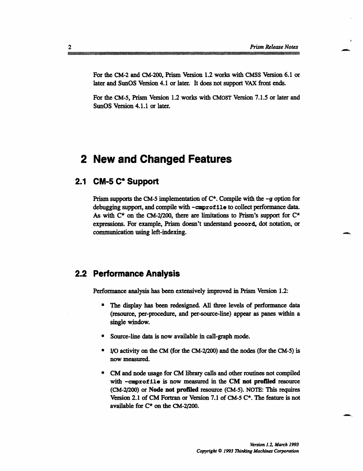For the CM-2 and CM-200, Prism Version 1.2 works with CMSS Version 6.1 or later and SunOS Version 4.1 or later. It does not support VAX front ends.

For the CM-5, Prism Version 1.2 works with CMOST Version 7.1.5 or later and SunOS Version 4.1.1 or later.

## **2 New and Changed Features**

### **2.1 CM-5 C\* Support**

Prism supports the CM-5 implementation of  $C^*$ . Compile with the  $-g$  option for debugging support, and compile with -cmprof ile to collect performance data. As with  $C^*$  on the CM-2/200, there are limitations to Prism's support for  $C^*$ expressions. For example, Prism doesn't understand pcoord, dot notation, or communication using left-indexing.

### **2.2 Performance Analysis**

Performance analysis has been extensively improved in Prism Version 1.2:

- \* The display has been redesigned. All three levels of performance data (resource, per-procedure, and per-source-line) appear as panes within a single window.
- Source-line data is now available in call-graph mode.
- \* I/O activity on the CM (for the CM-2/200) and the nodes (for the CM-5) is now measured.
- \* CM and node usage for CM library calls and other routines not compiled with -cmprofile is now measured in the CM not profiled resource (CM-2/200) or Node not profiled resource (CM-5). NOTE: This requires Version 2.1 of CM Fortran or Version 7.1 of CM-5 C\*. The feature is not available for C\* on the CM-2/200.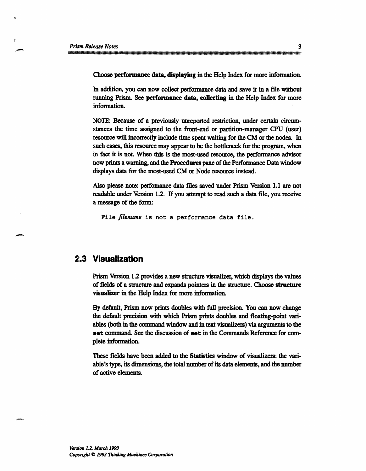Choose performance data, displaying in the Help Index for more information.

In addition, you can now collect performance data and save it in a file without running Prism. See performance data, collecting in the Help Index for more information.

NOTE: Because of a previously unreported restriction, under certain circumstances the time assigned to the front-end or partition-manager CPU (user) resource will incorrectly include time spent waiting for the CM or the nodes. In such cases, this resource may appear to be the bottleneck for the program, when in fact it is not. When this is the most-used resource, the performance advisor now prints a warning, and the Procedures pane of the Performance Data window displays data for the most-used CM or Node resource instead.

Also please note: perfomance data files saved under Prism Version 1.1 are not readable under Version 1.2. If you attempt to read such a data file, you receive a message of the form:

File *filename* is not a performance data file.

#### **2.3 Visualization**

Prism Version 1.2 provides a new structure visualizer, which displays the values of fields of a structure and expands pointers in the structure. Choose structure visualizer in the Help Index for more information.

By default, Prism now prints doubles with full precision. You can now change the default precision with which Prism prints doubles and floating-point variables (both in the command window and in text visualizers) via arguments to the **set** command. See the discussion of set in the Commands Reference for complete information.

These fields have been added to the Statistics window of visualizers: the variable's type, its dimensions, the total number of its data elements, and the number of active elements.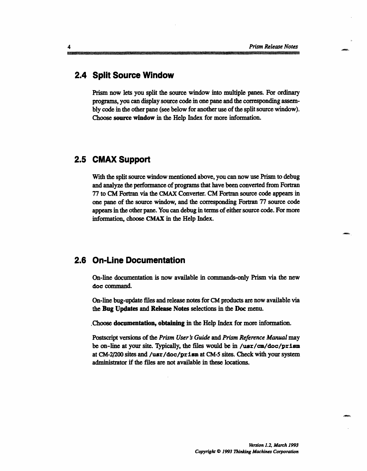## **2.4 Split Source Window**

Prism now lets you split the source window into multiple panes. For ordinary programs, you can display source code in one pane and the corresponding assembly code in the other pane (see below for another use of the split source window). Choose source window in the Help Index for more information.

## **2.5 CMAX Support**

With the split source window mentioned above, you can now use Prism to debug and analyze the performance of programs that have been converted from Fortran 77 to CM Fortran via the CMAX Converter. CM Fortran source code appears in one pane of the source window, and the corresponding Fortran 77 source code appears in the other pane. You can debug in terms of either source code. For more information, choose CMAX in the Help Index.

#### **2.6 On-Line Documentation**

On-line documentation is now available in commands-only Prism via the new doe command.

On-line bug-update files and release notes for CM products are now available via the Bug Updates and Release Notes selections in the Doc menu.

.Choose documentation, obtaining in the Help Index for more information.

Postscript versions of the *Prism User s Guide and Prism Reference Manual* may be on-line at your site. Typically, the files would be in /usr/cm/doc/prism at CM-2/200 sites and /usr/doc/prism at CM-5 sites. Check with your system administrator if the files are not available in these locations.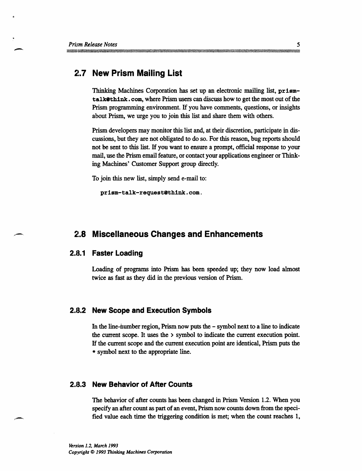## **2.7 New Prism Mailing List**

Thinking Machines Corporation has set up an electronic mailing list, prismtalkethink. com, where Prism users can discuss how to get the most out of the Prism programming environment. If you have comments, questions, or insights about Prism, we urge you to join this list and share them with others.

Prism developers may monitor this list and, at their discretion, participate in discussions, but they are not obligated to do so. For this reason, bug reports should not be sent to this list. If you want to ensure a prompt, official response to your mail, use the Prism email feature, or contact your applications engineer or Thinking Machines' Customer Support group directly.

To join this new list, simply send e-mail to:

prism-talk-requestethink.com.

#### **2.8 Miscellaneous Changes and Enhancements**

#### **2.8.1 Faster Loading**

Loading of programs into Prism has been speeded up; they now load almost twice as fast as they did in the previous version of Prism.

#### **2.8.2 New Scope and Execution Symbols**

In the line-number region, Prism now puts the - symbol next to a line to indicate the current scope. It uses the  $\ge$  symbol to indicate the current execution point. If the current scope and the current execution point are identical, Prism puts the \* symbol next to the appropriate line.

#### **2.13.3 New Behavior of After Counts**

The behavior of after counts has been changed in Prism Version 1.2. When you specify an after count as part of an event, Prism now counts down from the specified value each time the triggering condition is met; when the count reaches 1,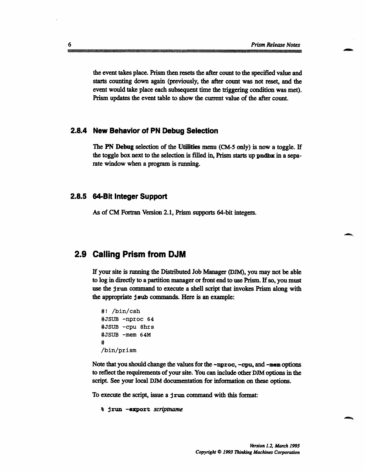the event takes place. Prism then resets the after count to the specified value and starts counting down again (previously, the after count was not reset, and the event would take place each subsequent time the triggering condition was met). Prism updates the event table to show the current value of the after count.

#### **2.8.4 New Behavior of PN Debug Selection**

The PN Debug selection of the Utilities menu (CM-5 only) is now a toggle. If the toggle box next to the selection is filled in, Prism starts up pndbx in a separate window when a program is running.

#### **2.8.5 64-Bit Integer Support**

As of CM Fortran Version 2.1, Prism supports 64-bit integers.

#### **2.9 Calling Prism from DJM**

If your site is running the Distributed Job Manager (DJM), you may not be able to log in directly to a partition manager or front end to use Prism. If so, you must use the  $\frac{1}{2}$  run command to execute a shell script that invokes Prism along with the appropriate j sub commands. Here is an example:

```
#! /bin/csh
#JSUB -nproc 64
#JSUB -cpu 8hrs
#JSUB -mem 64M
#
/bin/prism
```
Note that you should change the values for the  $-\text{nproc}, -\text{cpu}, \text{and } -\text{mem options}$ to reflect the requirements of your site. You can include other DJM options in the script. See your local DJM documentation for information on these options.

To execute the script, issue a j run command with this format:

```
% jrun -export scriptname
```